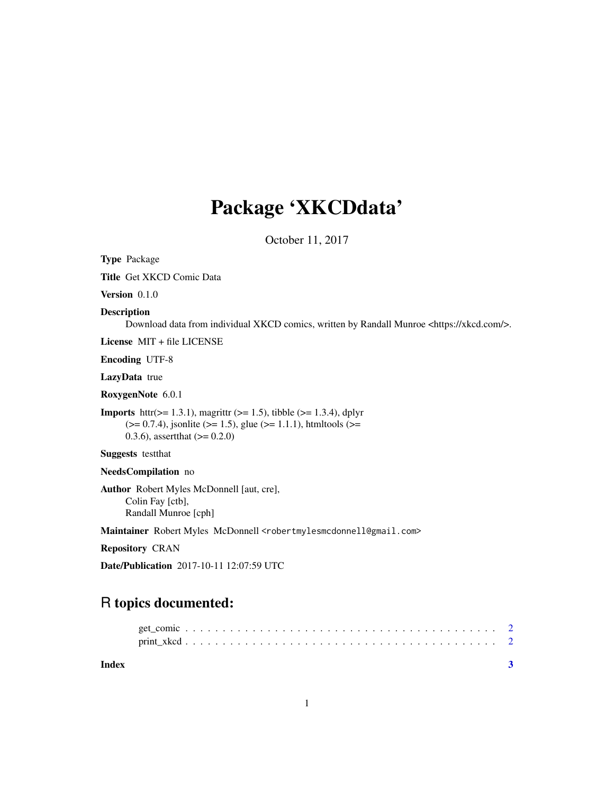## Package 'XKCDdata'

October 11, 2017

Type Package

Title Get XKCD Comic Data

Version 0.1.0

#### Description

Download data from individual XKCD comics, written by Randall Munroe <https://xkcd.com/>.

License MIT + file LICENSE

Encoding UTF-8

LazyData true

RoxygenNote 6.0.1

**Imports** httr( $> = 1.3.1$ ), magrittr ( $> = 1.5$ ), tibble ( $> = 1.3.4$ ), dplyr  $(>= 0.7.4)$ , jsonlite ( $>= 1.5$ ), glue ( $>= 1.1.1$ ), htmltools ( $>= 1.1.1$ ) 0.3.6), assert that  $(>= 0.2.0)$ 

Suggests testthat

NeedsCompilation no

Author Robert Myles McDonnell [aut, cre], Colin Fay [ctb], Randall Munroe [cph]

Maintainer Robert Myles McDonnell <robertmylesmcdonnell@gmail.com>

Repository CRAN

Date/Publication 2017-10-11 12:07:59 UTC

### R topics documented:

| Index |  |  |  |  |  |  |  |  |  |  |  |  |  |  |  |  |  |
|-------|--|--|--|--|--|--|--|--|--|--|--|--|--|--|--|--|--|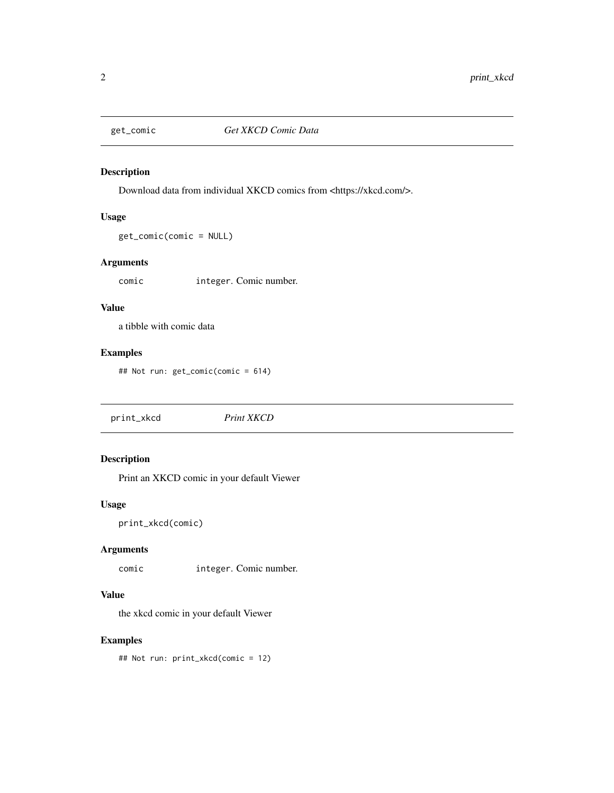<span id="page-1-0"></span>

#### Description

Download data from individual XKCD comics from <https://xkcd.com/>.

#### Usage

get\_comic(comic = NULL)

#### Arguments

comic integer. Comic number.

#### Value

a tibble with comic data

#### Examples

## Not run: get\_comic(comic = 614)

print\_xkcd *Print XKCD*

#### Description

Print an XKCD comic in your default Viewer

#### Usage

```
print_xkcd(comic)
```
#### Arguments

comic integer. Comic number.

#### Value

the xkcd comic in your default Viewer

#### Examples

## Not run: print\_xkcd(comic = 12)